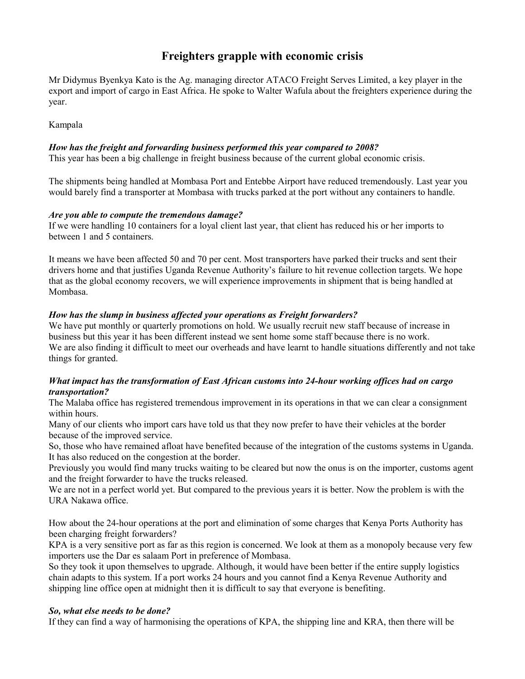# **Freighters grapple with economic crisis**

Mr Didymus Byenkya Kato is the Ag. managing director ATACO Freight Serves Limited, a key player in the export and import of cargo in East Africa. He spoke to Walter Wafula about the freighters experience during the year.

Kampala

# *How has the freight and forwarding business performed this year compared to 2008?*

This year has been a big challenge in freight business because of the current global economic crisis.

The shipments being handled at Mombasa Port and Entebbe Airport have reduced tremendously. Last year you would barely find a transporter at Mombasa with trucks parked at the port without any containers to handle.

### *Are you able to compute the tremendous damage?*

If we were handling 10 containers for a loyal client last year, that client has reduced his or her imports to between 1 and 5 containers.

It means we have been affected 50 and 70 per cent. Most transporters have parked their trucks and sent their drivers home and that justifies Uganda Revenue Authority's failure to hit revenue collection targets. We hope that as the global economy recovers, we will experience improvements in shipment that is being handled at Mombasa.

# *How has the slump in business affected your operations as Freight forwarders?*

We have put monthly or quarterly promotions on hold. We usually recruit new staff because of increase in business but this year it has been different instead we sent home some staff because there is no work. We are also finding it difficult to meet our overheads and have learnt to handle situations differently and not take things for granted.

# *What impact has the transformation of East African customs into 24-hour working offices had on cargo transportation?*

The Malaba office has registered tremendous improvement in its operations in that we can clear a consignment within hours.

Many of our clients who import cars have told us that they now prefer to have their vehicles at the border because of the improved service.

So, those who have remained afloat have benefited because of the integration of the customs systems in Uganda. It has also reduced on the congestion at the border.

Previously you would find many trucks waiting to be cleared but now the onus is on the importer, customs agent and the freight forwarder to have the trucks released.

We are not in a perfect world yet. But compared to the previous years it is better. Now the problem is with the URA Nakawa office.

How about the 24-hour operations at the port and elimination of some charges that Kenya Ports Authority has been charging freight forwarders?

KPA is a very sensitive port as far as this region is concerned. We look at them as a monopoly because very few importers use the Dar es salaam Port in preference of Mombasa.

So they took it upon themselves to upgrade. Although, it would have been better if the entire supply logistics chain adapts to this system. If a port works 24 hours and you cannot find a Kenya Revenue Authority and shipping line office open at midnight then it is difficult to say that everyone is benefiting.

### *So, what else needs to be done?*

If they can find a way of harmonising the operations of KPA, the shipping line and KRA, then there will be